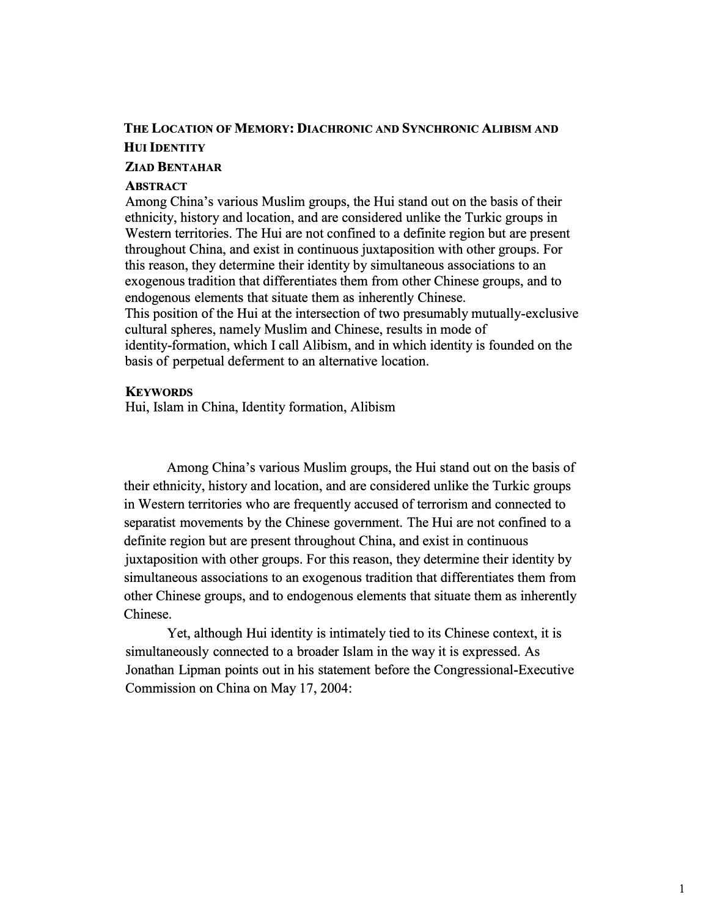# **THE LOCATION OF MEMORY: DIACHRONIC AND SYNCHRONIC ALIBISM AND HUI IDENTITY**

## **ZIAD BENTAHAR**

#### **ABSTRACT**

 exogenous tradition that differentiates them from other Chinese groups, and to endogenous elements that situate them as inherently Chinese. Among China's various Muslim groups, the Hui stand out on the basis of their ethnicity, history and location, and are considered unlike the Turkic groups in Western territories. The Hui are not confined to a definite region but are present throughout China, and exist in continuousjuxtaposition with other groups. For this reason, they determine their identity by simultaneous associations to an This position of the Hui at the intersection of two presumably mutually-exclusive cultural spheres, namely Muslim and Chinese, results in mode of identity-formation, which I call Alibism, and in which identity is founded on the basis of perpetual deferment to an alternative location.

### **KEYWORDS**

Hui, Islam in China, Identity formation, Alibism

 separatist movements by the Chinese government. The Hui are not confined to a definite region but are present throughout China, and exist in continuous Among China's various Muslim groups, the Hui stand out on the basis of their ethnicity, history and location, and are considered unlike the Turkic groups in Western territories who are frequently accused of terrorism and connected to juxtaposition with other groups. For this reason, they determine their identity by simultaneous associations to an exogenous tradition that differentiates them from other Chinese groups, and to endogenous elements that situate them as inherently Chinese.

 simultaneously connected to a broader Islam in the way it is expressed. As Jonathan Lipman points out in his statement before the Congressional-Executive Yet, although Hui identity is intimately tied to its Chinese context, it is Commission on China on May 17, 2004: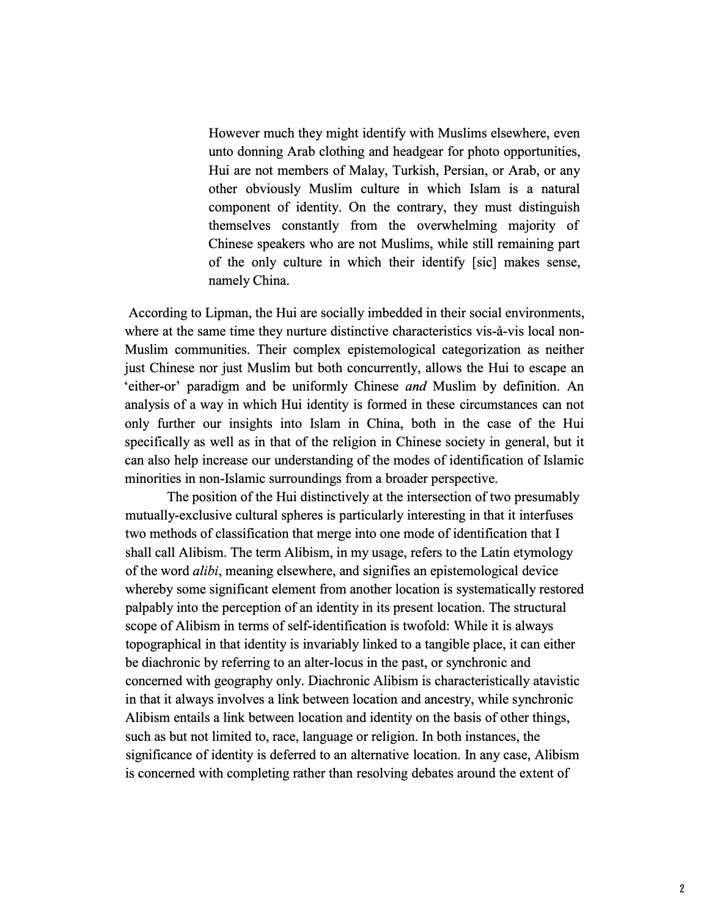However much they might identify with Muslims elsewhere, even unto donning Arab clothing and headgear for photo opportunities, Hui are not members of Malay, Turkish, Persian, or Arab, or any other obviously Muslim culture in which Islam is a natural component of identity. On the contrary, they must distinguish themselves constantly from the overwhelming majority of Chinese speakers who are not Muslims, while still remaining part of the only culture in which their identify [sic] makes sense, namely China.

According to Lipman, the Hui are socially imbedded in their social environments, where at the same time they nurture distinctive characteristics vis-à-vis local non-Muslim communities. Their complex epistemological categorization as neither just Chinese nor just Muslim but both concurrently, allows the Hui to escape an 'either-or' paradigm and be uniformly Chinese *and* Muslim by definition. An analysis of a way in which Hui identity is formed in these circumstances can not only further our insights into Islam in China, both in the case of the Hui specifically as well as in that of the religion in Chinese society in general, but it can also help increase our understanding of the modes of identification of Islamic minorities in non-Islamic surroundings from a broader perspective.

The position of the Hui distinctively at the intersection of two presumably mutually-exclusive cultural spheres is particularly interesting in that it interfuses two methods of classification that merge into one mode of identification that I shall call Alibism. The term Alibism, in my usage, refers to the Latin etymology of the word *alibi,* meaning elsewhere, and signifies an epistemological device whereby some significant element from another location is systematically restored palpably into the perception of an identity in its present location. The structural scope of Alibism in terms of self-identification is twofold: While it is always topographical in that identity is invariably linked to a tangible place, it can either be diachronic by referring to an alter-locus in the past, or synchronic and concerned with geography only. Diachronic Alibism is characteristically atavistic in that it always involves a link between location and ancestry, while synchronic Alibism entails a link between location and identity on the basis of other things, such as but not limited to, race, language or religion. In both instances, the significance of identity is deferred to an alternative location. In any case, Alibism is concerned with completing rather than resolving debates around the extent of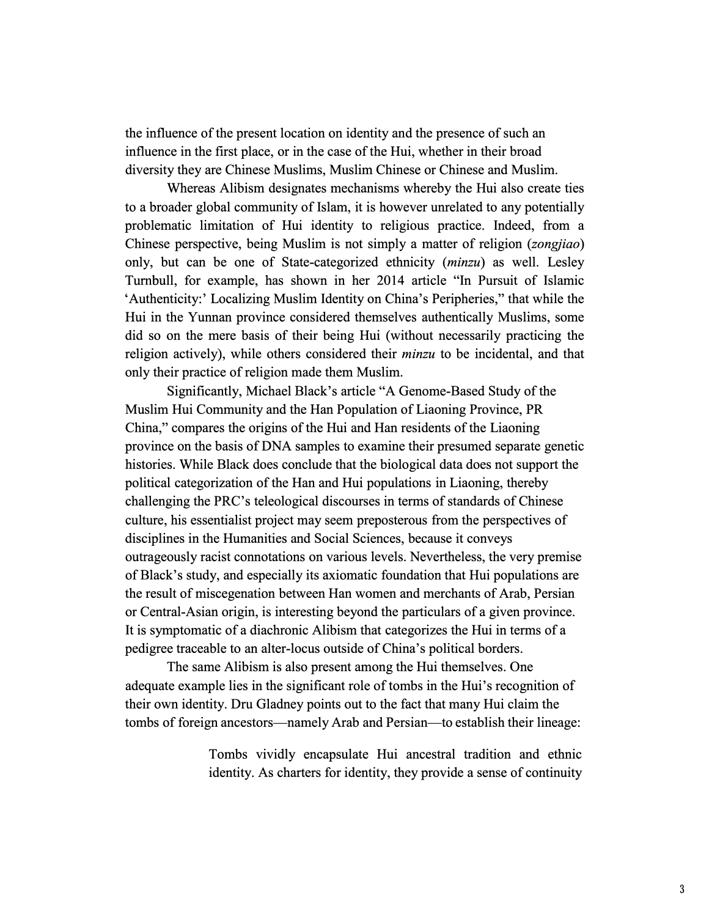the influence of the present location on identity and the presence of such an influence in the first place, or in the case of the Hui, whether in their broad diversity they are Chinese Muslims, Muslim Chinese or Chinese and Muslim.

Whereas Alibism designates mechanisms whereby the Hui also create ties to a broader global community of Islam, it is however unrelated to any potentially problematic limitation of Hui identity to religious practice. Indeed, from a Chinese perspective, being Muslim is not simply a matter of religion *(zongjiao)*  only, but can be one of State-categorized ethnicity *(minzu)* as well. Lesley Turnbull, for example, has shown in her 2014 article "In Pursuit of Islamic 'Authenticity:' Localizing Muslim Identity on China's Peripheries," that while the Hui in the Yunnan province considered themselves authentically Muslims, some did so on the mere basis of their being Hui (without necessarily practicing the religion actively), while others considered their *minzu* to be incidental, and that only their practice of religion made them Muslim.

Significantly, Michael Black's article "A Genome-Based Study of the Muslim Hui Community and the Han Population of Liaoning Province, PR China," compares the origins of the Hui and Han residents of the Liaoning province on the basis of DNA samples to examine their presumed separate genetic histories. While Black does conclude that the biological data does not support the political categorization of the Han and Hui populations in Liaoning, thereby challenging the PRC's teleological discourses in terms of standards ofChinese culture, his essentialist project may seem preposterous from the perspectives of disciplines in the Humanities and Social Sciences, because it conveys outrageously racist connotations on various levels. Nevertheless, the very premise ofBlack's study, and especially its axiomatic foundation that Hui populations are the result of miscegenation between Han women and merchants of Arab, Persian or Central-Asian origin, is interesting beyond the particulars of a given province. It is symptomatic of a diachronic Alibism that categorizes the Hui in terms of a pedigree traceable to an alter-locus outside of China's political borders.

The same Alibism is also present among the Hui themselves. One adequate example lies in the significant role of tombs in the Hui's recognition of their own identity. Dru Gladney points out to the fact that many Hui claim the tombs of foreign ancestors—namely Arab and Persian—to establish their lineage:

> Tombs vividly encapsulate Hui ancestral tradition and ethnic identity. As charters for identity, they provide a sense of continuity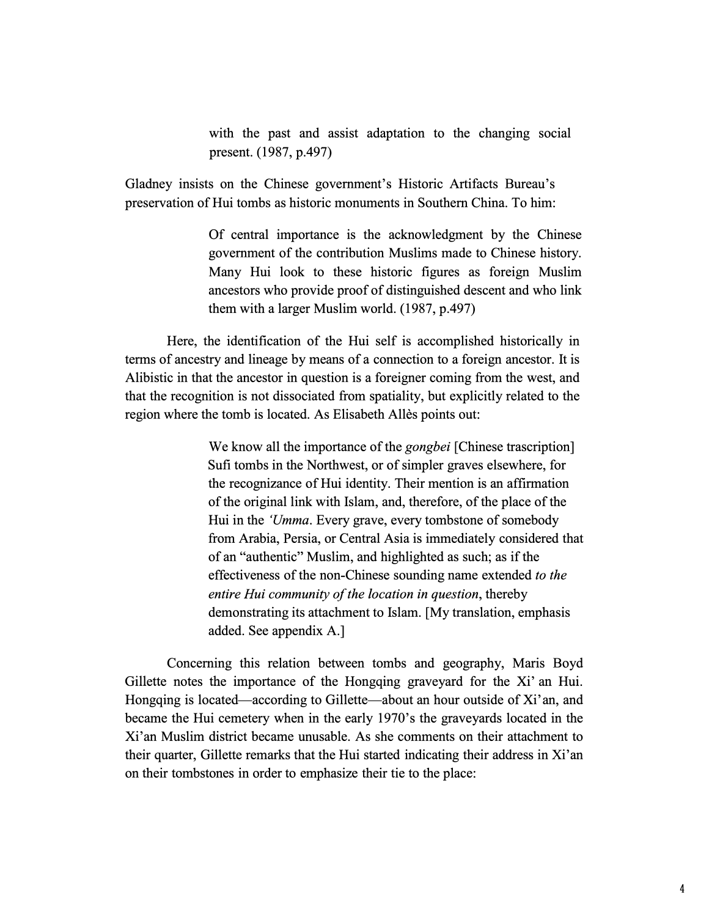with the past and assist adaptation to the changing social present. (1987, p.497)

Gladney insists on the Chinese government's Historic Artifacts Bureau's preservation of Hui tombs as historic monuments in Southern China. To him:

> Of central importance is the acknowledgment by the Chinese government of the contribution Muslims made to Chinese history. Many Hui look to these historic figures as foreign Muslim ancestors who provide proof of distinguished descent and who link them with a larger Muslim world. (1987, p.497)

Here, the identification of the Hui self is accomplished historically in terms of ancestry and lineage by means of a connection to a foreign ancestor. It is Alibistic in that the ancestor in question is a foreigner coming from the west, and that the recognition is not dissociated from spatiality, but explicitly related to the region where the tomb is located. As Elisabeth Allès points out:

> We know all the importance of the *gongbei* [Chinese trascription] Sufi tombs in the Northwest, or of simpler graves elsewhere, for the recognizance of Hui identity. Their mention is an affirmation of the original link with Islam, and, therefore, of the place of the Hui in the *'Umma*. Every grave, every tombstone of somebody from Arabia, Persia, or Central Asia is immediately considered that of an "authentic" Muslim, and highlighted as such; as if the effectiveness of the non-Chinese sounding name extended *to the entire Hui community of the location in question, thereby* demonstrating its attachment to Islam. [My translation, emphasis added. See appendix A.]

Concerning this relation between tombs and geography, Maris Boyd Gillette notes the importance of the Hongqing graveyard for the Xi' an Hui. Hongqing is located—according to Gillette—about an hour outside of Xi' an, and became the Hui cemetery when in the early 1970's the graveyards located in the Xi'an Muslim district became unusable. As she comments on their attachment to their quarter, Gillette remarks that the Hui started indicating their address in Xi'an on their tombstones in order to emphasize their tie to the place: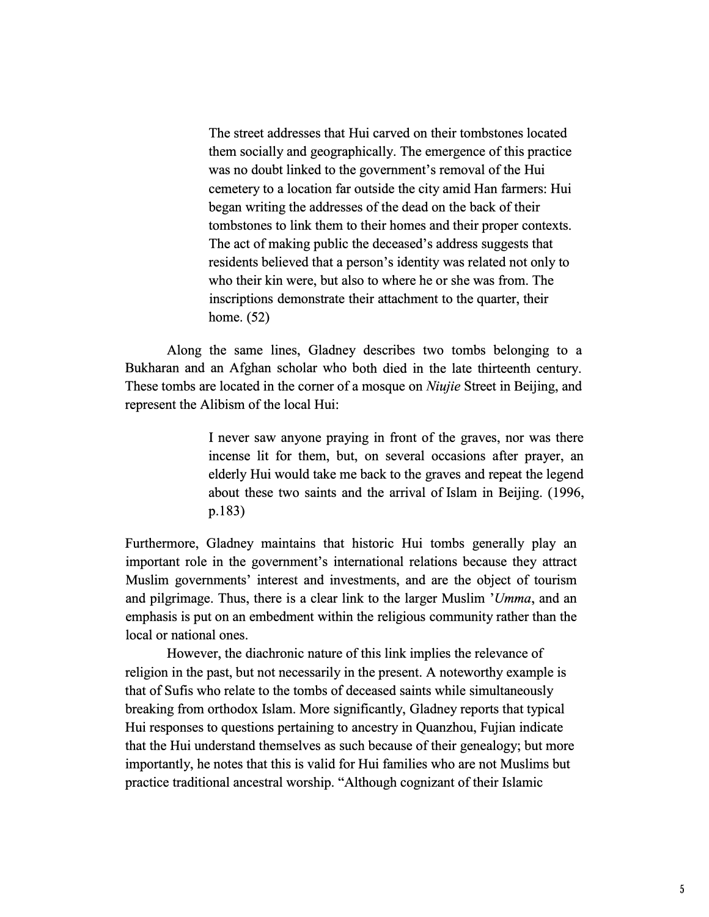The street addresses that Hui carved on their tombstones located them socially and geographically. The emergence of this practice was no doubt linked to the government's removal of the Hui cemetery to a location far outside the city amid Han farmers: Hui began writing the addresses of the dead on the back of their tombstones to link them to their homes and their proper contexts. The act of making public the deceased's address suggests that residents believed that a person's identity was related not only to who their kin were, but also to where he or she was from. The inscriptions demonstrate their attachment to the quarter, their home. (52)

Along the same lines, Gladney describes two tombs belonging to a Bukharan and an Afghan scholar who both died in the late thirteenth century. These tombs are located in the comer of a mosque on *Niujie* Street in Beijing, and represent the Alibism of the local Hui:

> I never saw anyone praying in front of the graves, nor was there incense lit for them, but, on several occasions after prayer, an elderly Hui would take me back to the graves and repeat the legend about these two saints and the arrival of Islam in Beijing. (1996, p.183)

Furthermore, Gladney maintains that historic Hui tombs generally play an important role in the government's international relations because they attract Muslim governments' interest and investments, and are the object of tourism and pilgrimage. Thus, there is a clear link to the larger Muslim *'Umma,* and an emphasis is put on an embedment within the religious community rather than the local or national ones.

However, the diachronic nature of this link implies the relevance of religion in the past, but not necessarily in the present. A noteworthy example is that of Sufis who relate to the tombs of deceased saints while simultaneously breaking from orthodox Islam. More significantly, Gladney reports that typical Hui responses to questions pertaining to ancestry in Quanzhou, Fujian indicate that the Hui understand themselves as such because of their genealogy; but more importantly, he notes that this is valid for Hui families who are not Muslims but practice traditional ancestral worship. "Although cognizant of their Islamic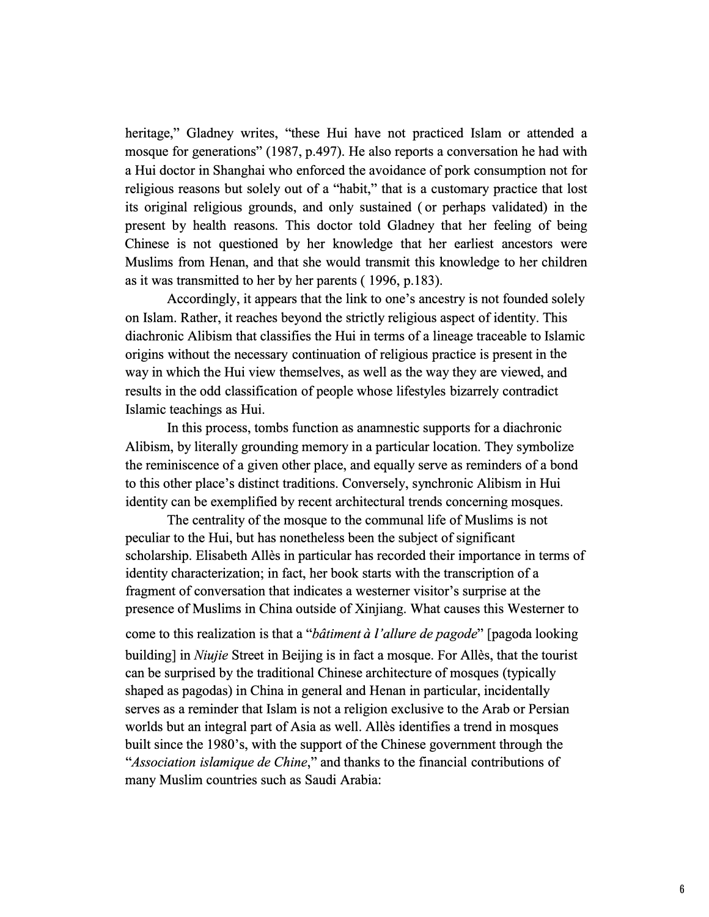heritage," Gladney writes, "these Hui have not practiced Islam or attended a mosque for generations" (1987, p.497). He also reports a conversation he had with a Hui doctor in Shanghai who enforced the avoidance of pork consumption not for religious reasons but solely out of a "habit," that is a customary practice that lost its original religious grounds, and only sustained ( or perhaps validated) in the present by health reasons. This doctor told Gladney that her feeling of being Chinese is not questioned by her knowledge that her earliest ancestors were Muslims from Henan, and that she would transmit this knowledge to her children as it was transmitted to her by her parents ( 1996, p.183).

Accordingly, it appears that the link to one's ancestry is not founded solely on Islam. Rather, it reaches beyond the strictly religious aspect of identity. This diachronic Alibism that classifies the Hui in terms of a lineage traceable to Islamic origins without the necessary continuation of religious practice is present in the way in which the Hui view themselves, as well as the way they are viewed, and results in the odd classification of people whose lifestyles bizarrely contradict Islamic teachings as Hui.

In this process, tombs function as anamnestic supports for a diachronic Alibism, by literally grounding memory in a particular location. They symbolize the reminiscence of a given other place, and equally serve as reminders of a bond to this other place's distinct traditions. Conversely, synchronic Alibism in Hui identity can be exemplified by recent architectural trends concerning mosques.

The centrality of the mosque to the communal life of Muslims is not peculiar to the Hui, but has nonetheless been the subject of significant scholarship. Elisabeth Alles in particular has recorded their importance in terms of identity characterization; in fact, her book starts with the transcription of a fragment of conversation that indicates a westerner visitor's surprise at the presence of Muslims in China outside of Xinjiang. What causes this Westerner to

come to this realization is that <sup>a</sup>*"batiment a /'allure de pagode"* [pagoda looking building] in *Niujie* Street in Beijing is in fact a mosque. For Allès, that the tourist can be surprised by the traditional Chinese architecture of mosques (typically shaped as pagodas) in China in general and Henan in particular, incidentally serves as a reminder that Islam is not a religion exclusive to the Arab or Persian worlds but an integral part of Asia as well. Allès identifies a trend in mosques built since the 1980's, with the support of the Chinese government through the *"Association islamique de Chine,"* and thanks to the financial contributions of many Muslim countries such as Saudi Arabia: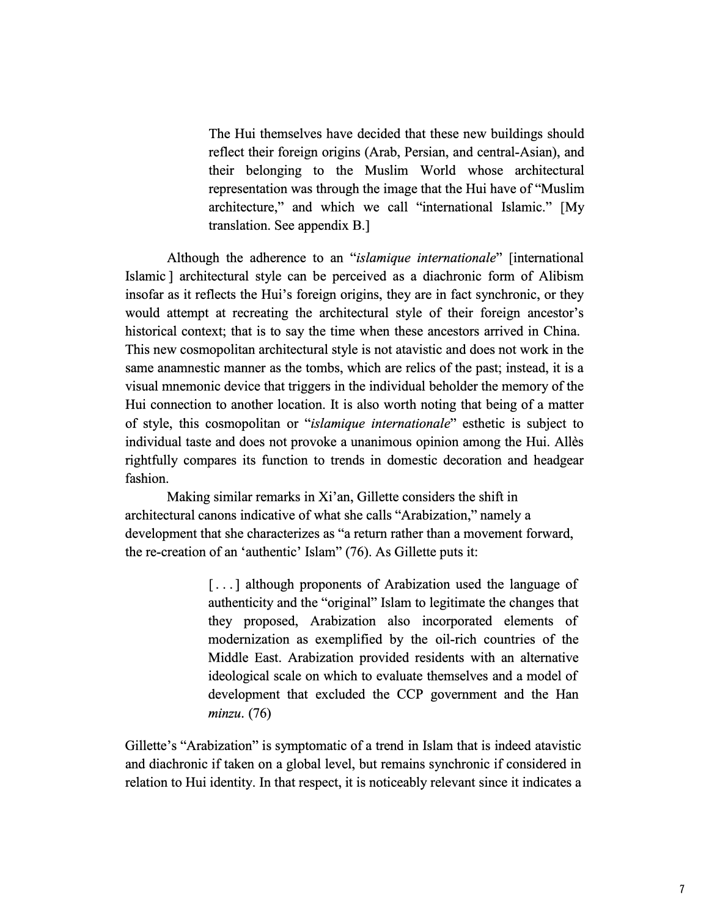The Hui themselves have decided that these new buildings should reflect their foreign origins (Arab, Persian, and central-Asian), and their belonging to the Muslim World whose architectural representation was through the image that the Hui have of "Muslim architecture," and which we call "international Islamic." [My translation. See appendix B.]

Although the adherence to an *"islamique intemationale"* [international Islamic ] architectural style can be perceived as a diachronic form of Alibism insofar as it reflects the Hui's foreign origins, they are in fact synchronic, or they would attempt at recreating the architectural style of their foreign ancestor's historical context; that is to say the time when these ancestors arrived in China. This new cosmopolitan architectural style is not atavistic and does not work in the same anamnestic manner as the tombs, which are relics of the past; instead, it is a visual mnemonic device that triggers in the individual beholder the memory of the Hui connection to another location. It is also worth noting that being of a matter of style, this cosmopolitan or *"islamique intemationale"* esthetic is subject to individual taste and does not provoke a unanimous opinion among the Hui. Alles rightfully compares its function to trends in domestic decoration and headgear fashion.

Making similar remarks in Xi'an, Gillette considers the shift in architectural canons indicative of what she calls "Arabization," namely a development that she characterizes as "a return rather than a movement forward, the re-creation of an 'authentic' Islam" (76). As Gillette puts it:

> [...] although proponents of Arabization used the language of authenticity and the "original" Islam to legitimate the changes that they proposed, Arabization also incorporated elements of modernization as exemplified by the oil-rich countries of the Middle East. Arabization provided residents with an alternative ideological scale on which to evaluate themselves and a model of development that excluded the CCP government and the Han *minzu.* (76)

Gillette's "Arabization" is symptomatic of a trend in Islam that is indeed atavistic and diachronic if taken on a global level, but remains synchronic if considered in relation to Hui identity. In that respect, it is noticeably relevant since it indicates a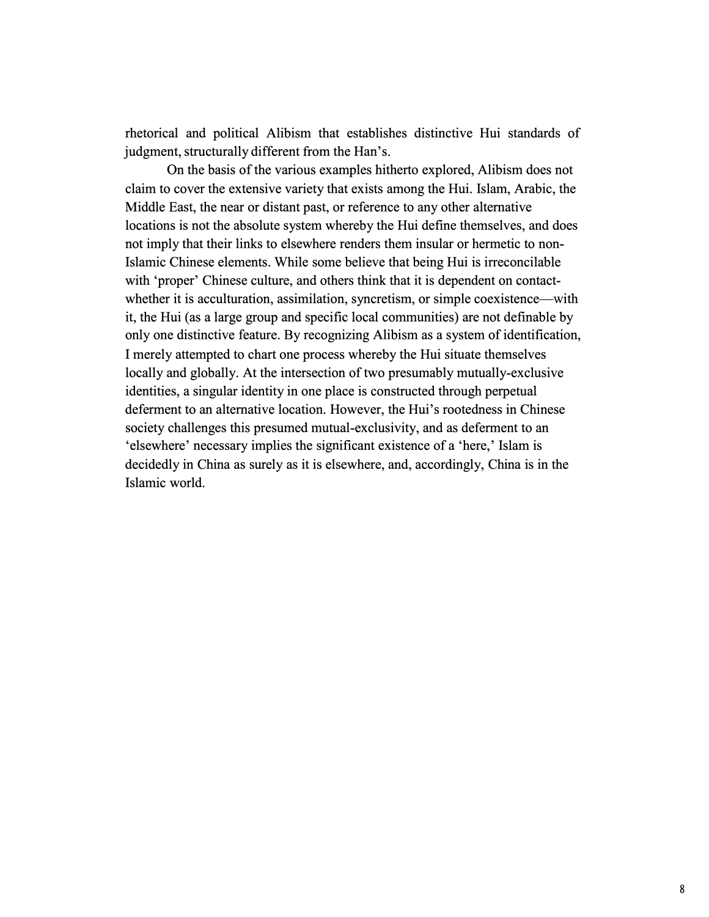rhetorical and political Alibism that establishes distinctive Hui standards of judgment, structurally different from the Han's.

On the basis of the various examples hitherto explored, Alibism does not claim to cover the extensive variety that exists among the Hui. Islam, Arabic, the Middle East, the near or distant past, or reference to any other alternative locations is not the absolute system whereby the Hui define themselves, and does not imply that their links to elsewhere renders them insular or hermetic to non-Islamic Chinese elements. While some believe that being Hui is irreconcilable with 'proper' Chinese culture, and others think that it is dependent on contactwhether it is acculturation, assimilation, syncretism, or simple coexistence—with it, the Hui (as a large group and specific local communities) are not definable by only one distinctive feature. By recognizing Alibism as a system of identification, I merely attempted to chart one process whereby the Hui situate themselves locally and globally. At the intersection of two presumably mutually-exclusive identities, a singular identity in one place is constructed through perpetual deferment to an alternative location. However, the Hui's rootedness in Chinese society challenges this presumed mutual-exclusivity, and as deferment to an 'elsewhere' necessary implies the significant existence of a 'here,' Islam is decidedly in China as surely as it is elsewhere, and, accordingly, China is in the Islamic world.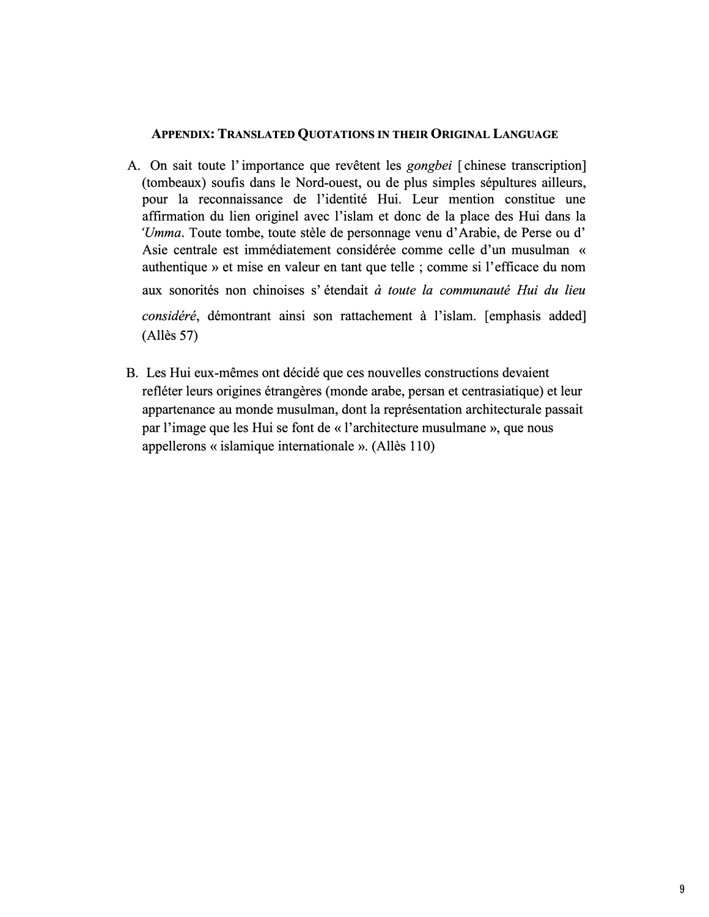#### **APPENDIX: TRANSLATED QUOTATIONS IN THEIR ORIGINAL LANGUAGE**

- A. On sait toute l' importance que revetent les *gongbei* [ chinese transcription] (tombeaux) soufis dans le Nord-ouest, ou de plus simples sepultures ailleurs, pour la reconnaissance de l'identite Hui. Leur mention constitue une affirmation du lien originel avec l'islam et done de la place des Hui dans la *'Umma.* Toute tombe, toute stele de personnage venu d'Arabie, de Perse ou d' Asie centrale est immédiatement considérée comme celle d'un musulman « authentique » et mise en valeur en tant que telle ; comme si l'efficace du nom aux sonorites non chinoises s' etendait *a toute la communaute Hui du lieu considéré*, démontrant ainsi son rattachement à l'islam. [emphasis added]  $(All\acute{e}s 57)$
- B. Les Hui eux-mêmes ont décidé que ces nouvelles constructions devaient refleter leurs origines etrangeres (monde arabe, persan et centrasiatique) et leur appartenance au monde musulman, dont la representation architecturale passait par l'image que les Hui se font de« !'architecture musulmane », que nous appellerons « islamique intemationale ». (Alles 110)